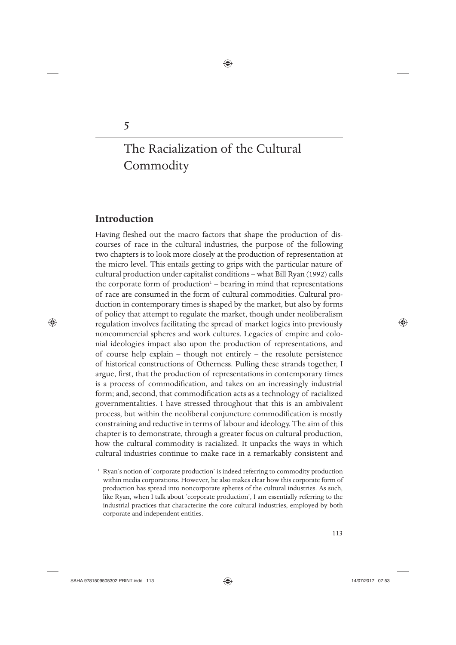# **Introduction**

 $\bigoplus$ 

5

Having fleshed out the macro factors that shape the production of discourses of race in the cultural industries, the purpose of the following two chapters is to look more closely at the production of representation at the micro level. This entails getting to grips with the particular nature of cultural production under capitalist conditions – what Bill Ryan (1992) calls the corporate form of production<sup>1</sup> - bearing in mind that representations of race are consumed in the form of cultural commodities. Cultural production in contemporary times is shaped by the market, but also by forms of policy that attempt to regulate the market, though under neoliberalism regulation involves facilitating the spread of market logics into previously noncommercial spheres and work cultures. Legacies of empire and colonial ideologies impact also upon the production of representations, and of course help explain – though not entirely – the resolute persistence of historical constructions of Otherness. Pulling these strands together, I argue, first, that the production of representations in contemporary times is a process of commodification, and takes on an increasingly industrial form; and, second, that commodification acts as a technology of racialized governmentalities. I have stressed throughout that this is an ambivalent process, but within the neoliberal conjuncture commodification is mostly constraining and reductive in terms of labour and ideology. The aim of this chapter is to demonstrate, through a greater focus on cultural production, how the cultural commodity is racialized. It unpacks the ways in which cultural industries continue to make race in a remarkably consistent and

<sup>1</sup> Ryan's notion of 'corporate production' is indeed referring to commodity production within media corporations. However, he also makes clear how this corporate form of production has spread into noncorporate spheres of the cultural industries. As such, like Ryan, when I talk about 'corporate production', I am essentially referring to the industrial practices that characterize the core cultural industries, employed by both corporate and independent entities.

♠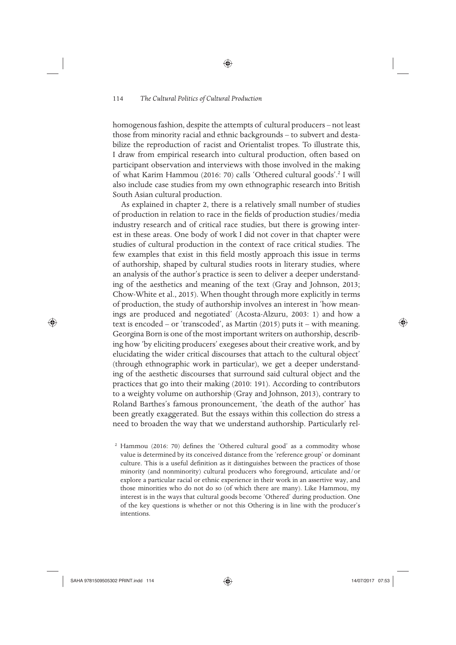homogenous fashion, despite the attempts of cultural producers – not least those from minority racial and ethnic backgrounds – to subvert and destabilize the reproduction of racist and Orientalist tropes. To illustrate this, I draw from empirical research into cultural production, often based on participant observation and interviews with those involved in the making of what Karim Hammou (2016: 70) calls 'Othered cultural goods'.<sup>2</sup> I will also include case studies from my own ethnographic research into British South Asian cultural production.

As explained in chapter 2, there is a relatively small number of studies of production in relation to race in the fields of production studies/media industry research and of critical race studies, but there is growing interest in these areas. One body of work I did not cover in that chapter were studies of cultural production in the context of race critical studies. The few examples that exist in this field mostly approach this issue in terms of authorship, shaped by cultural studies roots in literary studies, where an analysis of the author's practice is seen to deliver a deeper understanding of the aesthetics and meaning of the text (Gray and Johnson, 2013; Chow-White et al., 2015). When thought through more explicitly in terms of production, the study of authorship involves an interest in 'how meanings are produced and negotiated' (Acosta-Alzuru, 2003: 1) and how a text is encoded – or 'transcoded', as Martin (2015) puts it – with meaning. Georgina Born is one of the most important writers on authorship, describing how 'by eliciting producers' exegeses about their creative work, and by elucidating the wider critical discourses that attach to the cultural object' (through ethnographic work in particular), we get a deeper understanding of the aesthetic discourses that surround said cultural object and the practices that go into their making (2010: 191). According to contributors to a weighty volume on authorship (Gray and Johnson, 2013), contrary to Roland Barthes's famous pronouncement, 'the death of the author' has been greatly exaggerated. But the essays within this collection do stress a need to broaden the way that we understand authorship. Particularly rel-

<sup>2</sup> Hammou (2016: 70) defines the 'Othered cultural good' as a commodity whose value is determined by its conceived distance from the 'reference group' or dominant culture. This is a useful definition as it distinguishes between the practices of those minority (and nonminority) cultural producers who foreground, articulate and/or explore a particular racial or ethnic experience in their work in an assertive way, and those minorities who do not do so (of which there are many). Like Hammou, my interest is in the ways that cultural goods become 'Othered' during production. One of the key questions is whether or not this Othering is in line with the producer's intentions.

♠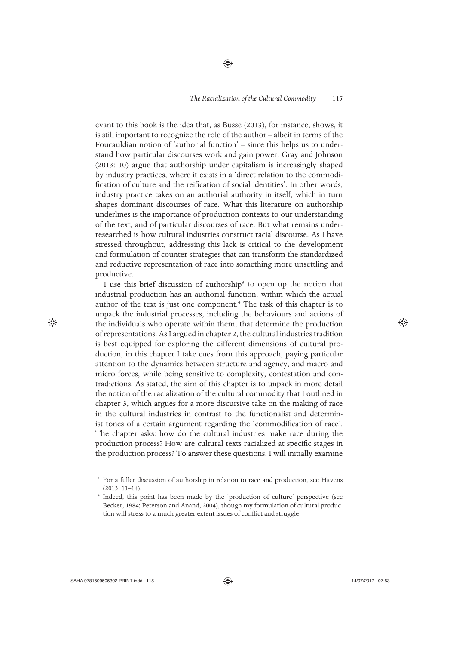evant to this book is the idea that, as Busse (2013), for instance, shows, it is still important to recognize the role of the author – albeit in terms of the Foucauldian notion of 'authorial function' – since this helps us to understand how particular discourses work and gain power. Gray and Johnson (2013: 10) argue that authorship under capitalism is increasingly shaped by industry practices, where it exists in a 'direct relation to the commodification of culture and the reification of social identities'. In other words, industry practice takes on an authorial authority in itself, which in turn shapes dominant discourses of race. What this literature on authorship underlines is the importance of production contexts to our understanding of the text, and of particular discourses of race. But what remains underresearched is how cultural industries construct racial discourse. As I have stressed throughout, addressing this lack is critical to the development and formulation of counter strategies that can transform the standardized and reductive representation of race into something more unsettling and productive.

◈

I use this brief discussion of authorship<sup>3</sup> to open up the notion that industrial production has an authorial function, within which the actual author of the text is just one component.<sup>4</sup> The task of this chapter is to unpack the industrial processes, including the behaviours and actions of the individuals who operate within them, that determine the production of representations. As I argued in chapter 2, the cultural industries tradition is best equipped for exploring the different dimensions of cultural production; in this chapter I take cues from this approach, paying particular attention to the dynamics between structure and agency, and macro and micro forces, while being sensitive to complexity, contestation and contradictions. As stated, the aim of this chapter is to unpack in more detail the notion of the racialization of the cultural commodity that I outlined in chapter 3, which argues for a more discursive take on the making of race in the cultural industries in contrast to the functionalist and determinist tones of a certain argument regarding the 'commodification of race'. The chapter asks: how do the cultural industries make race during the production process? How are cultural texts racialized at specific stages in the production process? To answer these questions, I will initially examine

♠

<sup>&</sup>lt;sup>3</sup> For a fuller discussion of authorship in relation to race and production, see Havens (2013: 11–14).<br> $4$  Indeed, this point has been made by the 'production of culture' perspective (see

Becker, 1984; Peterson and Anand, 2004), though my formulation of cultural production will stress to a much greater extent issues of conflict and struggle.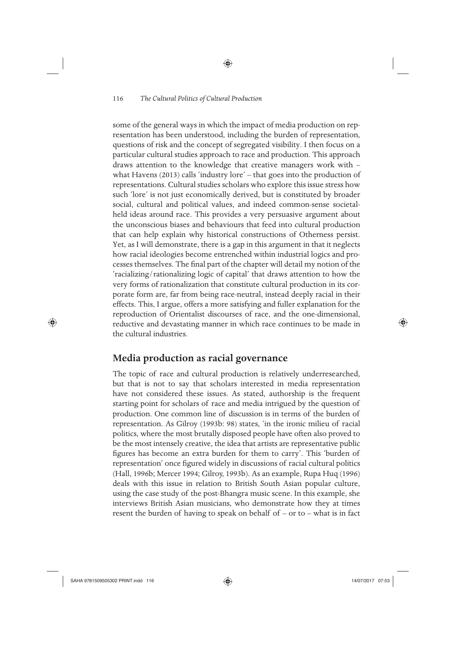some of the general ways in which the impact of media production on representation has been understood, including the burden of representation, questions of risk and the concept of segregated visibility. I then focus on a particular cultural studies approach to race and production. This approach draws attention to the knowledge that creative managers work with – what Havens (2013) calls 'industry lore' – that goes into the production of representations. Cultural studies scholars who explore this issue stress how such 'lore' is not just economically derived, but is constituted by broader social, cultural and political values, and indeed common-sense societalheld ideas around race. This provides a very persuasive argument about the unconscious biases and behaviours that feed into cultural production that can help explain why historical constructions of Otherness persist. Yet, as I will demonstrate, there is a gap in this argument in that it neglects how racial ideologies become entrenched within industrial logics and processes themselves. The final part of the chapter will detail my notion of the 'racializing/rationalizing logic of capital' that draws attention to how the very forms of rationalization that constitute cultural production in its corporate form are, far from being race-neutral, instead deeply racial in their effects. This, I argue, offers a more satisfying and fuller explanation for the reproduction of Orientalist discourses of race, and the one-dimensional, reductive and devastating manner in which race continues to be made in the cultural industries.

◈

## **Media production as racial governance**

The topic of race and cultural production is relatively underresearched, but that is not to say that scholars interested in media representation have not considered these issues. As stated, authorship is the frequent starting point for scholars of race and media intrigued by the question of production. One common line of discussion is in terms of the burden of representation. As Gilroy (1993b: 98) states, 'in the ironic milieu of racial politics, where the most brutally disposed people have often also proved to be the most intensely creative, the idea that artists are representative public figures has become an extra burden for them to carry'. This 'burden of representation' once figured widely in discussions of racial cultural politics (Hall, 1996b; Mercer 1994; Gilroy, 1993b). As an example, Rupa Huq (1996) deals with this issue in relation to British South Asian popular culture, using the case study of the post-Bhangra music scene. In this example, she interviews British Asian musicians, who demonstrate how they at times resent the burden of having to speak on behalf of – or to – what is in fact

♠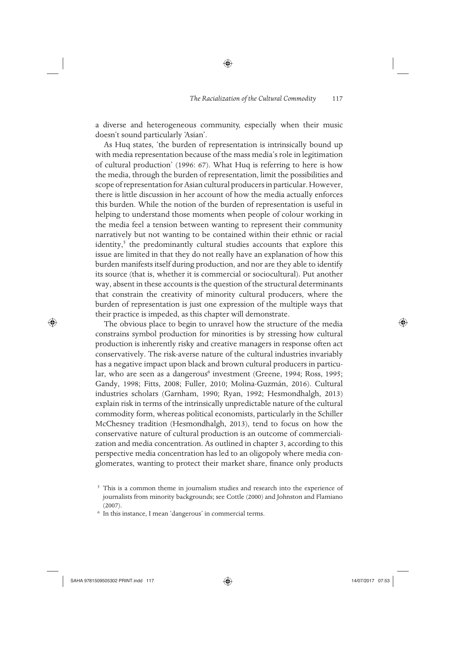a diverse and heterogeneous community, especially when their music doesn't sound particularly 'Asian'.

As Huq states, 'the burden of representation is intrinsically bound up with media representation because of the mass media's role in legitimation of cultural production' (1996: 67). What Huq is referring to here is how the media, through the burden of representation, limit the possibilities and scope of representation for Asian cultural producers in particular. However, there is little discussion in her account of how the media actually enforces this burden. While the notion of the burden of representation is useful in helping to understand those moments when people of colour working in the media feel a tension between wanting to represent their community narratively but not wanting to be contained within their ethnic or racial identity,<sup>5</sup> the predominantly cultural studies accounts that explore this issue are limited in that they do not really have an explanation of how this burden manifests itself during production, and nor are they able to identify its source (that is, whether it is commercial or sociocultural). Put another way, absent in these accounts is the question of the structural determinants that constrain the creativity of minority cultural producers, where the burden of representation is just one expression of the multiple ways that their practice is impeded, as this chapter will demonstrate.

The obvious place to begin to unravel how the structure of the media constrains symbol production for minorities is by stressing how cultural production is inherently risky and creative managers in response often act conservatively. The risk-averse nature of the cultural industries invariably has a negative impact upon black and brown cultural producers in particular, who are seen as a dangerous<sup>6</sup> investment (Greene, 1994; Ross, 1995; Gandy, 1998; Fitts, 2008; Fuller, 2010; Molina-Guzmán, 2016). Cultural industries scholars (Garnham, 1990; Ryan, 1992; Hesmondhalgh, 2013) explain risk in terms of the intrinsically unpredictable nature of the cultural commodity form, whereas political economists, particularly in the Schiller McChesney tradition (Hesmondhalgh, 2013), tend to focus on how the conservative nature of cultural production is an outcome of commercialization and media concentration. As outlined in chapter 3, according to this perspective media concentration has led to an oligopoly where media conglomerates, wanting to protect their market share, finance only products

 $\bigoplus$ 

♠

<sup>&</sup>lt;sup>5</sup> This is a common theme in journalism studies and research into the experience of journalists from minority backgrounds; see Cottle (2000) and Johnston and Flamiano (2007).  $\epsilon$  In this instance, I mean 'dangerous' in commercial terms.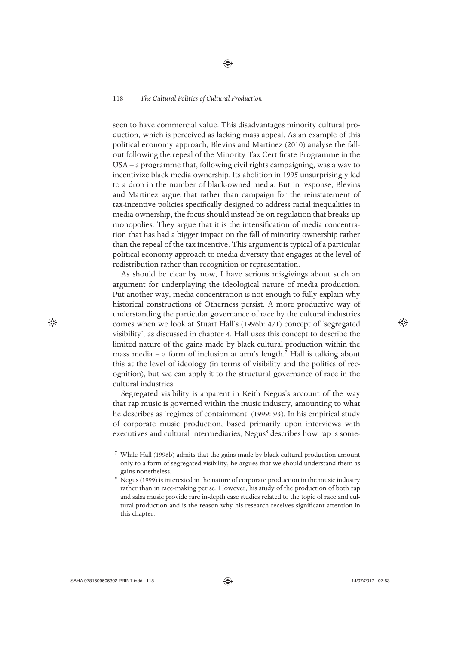seen to have commercial value. This disadvantages minority cultural production, which is perceived as lacking mass appeal. As an example of this political economy approach, Blevins and Martinez (2010) analyse the fallout following the repeal of the Minority Tax Certificate Programme in the USA – a programme that, following civil rights campaigning, was a way to incentivize black media ownership. Its abolition in 1995 unsurprisingly led to a drop in the number of black-owned media. But in response, Blevins and Martinez argue that rather than campaign for the reinstatement of tax-incentive policies specifically designed to address racial inequalities in media ownership, the focus should instead be on regulation that breaks up monopolies. They argue that it is the intensification of media concentration that has had a bigger impact on the fall of minority ownership rather than the repeal of the tax incentive. This argument is typical of a particular political economy approach to media diversity that engages at the level of redistribution rather than recognition or representation.

As should be clear by now, I have serious misgivings about such an argument for underplaying the ideological nature of media production. Put another way, media concentration is not enough to fully explain why historical constructions of Otherness persist. A more productive way of understanding the particular governance of race by the cultural industries comes when we look at Stuart Hall's (1996b: 471) concept of 'segregated visibility', as discussed in chapter 4. Hall uses this concept to describe the limited nature of the gains made by black cultural production within the mass media - a form of inclusion at arm's length.<sup>7</sup> Hall is talking about this at the level of ideology (in terms of visibility and the politics of recognition), but we can apply it to the structural governance of race in the cultural industries.

Segregated visibility is apparent in Keith Negus's account of the way that rap music is governed within the music industry, amounting to what he describes as 'regimes of containment' (1999: 93). In his empirical study of corporate music production, based primarily upon interviews with executives and cultural intermediaries, Negus<sup>8</sup> describes how rap is some-

⊕

 <sup>7</sup> While Hall (1996b) admits that the gains made by black cultural production amount only to a form of segregated visibility, he argues that we should understand them as gains nonetheless. 8 Negus (1999) is interested in the nature of corporate production in the music industry

rather than in race-making per se. However, his study of the production of both rap and salsa music provide rare in-depth case studies related to the topic of race and cultural production and is the reason why his research receives significant attention in this chapter.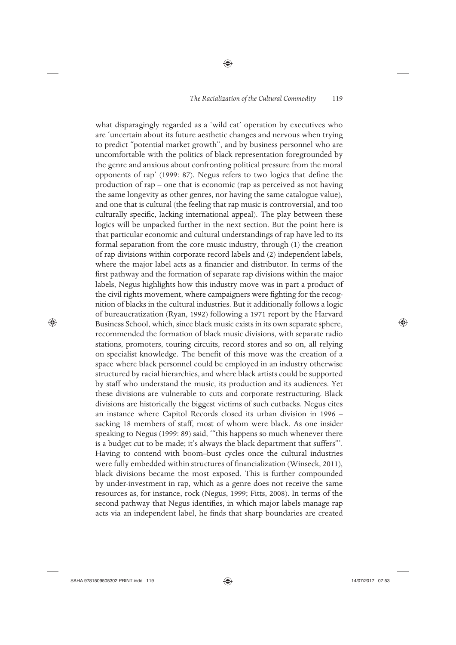◈

what disparagingly regarded as a 'wild cat' operation by executives who are 'uncertain about its future aesthetic changes and nervous when trying to predict "potential market growth", and by business personnel who are uncomfortable with the politics of black representation foregrounded by the genre and anxious about confronting political pressure from the moral opponents of rap' (1999: 87). Negus refers to two logics that define the production of rap – one that is economic (rap as perceived as not having the same longevity as other genres, nor having the same catalogue value), and one that is cultural (the feeling that rap music is controversial, and too culturally specific, lacking international appeal). The play between these logics will be unpacked further in the next section. But the point here is that particular economic and cultural understandings of rap have led to its formal separation from the core music industry, through (1) the creation of rap divisions within corporate record labels and (2) independent labels, where the major label acts as a financier and distributor. In terms of the first pathway and the formation of separate rap divisions within the major labels, Negus highlights how this industry move was in part a product of the civil rights movement, where campaigners were fighting for the recognition of blacks in the cultural industries. But it additionally follows a logic of bureaucratization (Ryan, 1992) following a 1971 report by the Harvard Business School, which, since black music exists in its own separate sphere, recommended the formation of black music divisions, with separate radio stations, promoters, touring circuits, record stores and so on, all relying on specialist knowledge. The benefit of this move was the creation of a space where black personnel could be employed in an industry otherwise structured by racial hierarchies, and where black artists could be supported by staff who understand the music, its production and its audiences. Yet these divisions are vulnerable to cuts and corporate restructuring. Black divisions are historically the biggest victims of such cutbacks. Negus cites an instance where Capitol Records closed its urban division in 1996 – sacking 18 members of staff, most of whom were black. As one insider speaking to Negus (1999: 89) said, '"this happens so much whenever there is a budget cut to be made; it's always the black department that suffers"'. Having to contend with boom–bust cycles once the cultural industries were fully embedded within structures of financialization (Winseck, 2011), black divisions became the most exposed. This is further compounded by under-investment in rap, which as a genre does not receive the same resources as, for instance, rock (Negus, 1999; Fitts, 2008). In terms of the second pathway that Negus identifies, in which major labels manage rap acts via an independent label, he finds that sharp boundaries are created

 $\bigoplus$ 

♠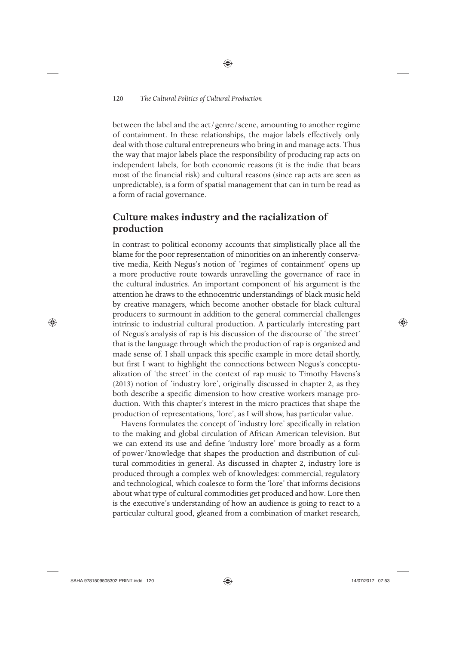between the label and the act/genre/scene, amounting to another regime of containment. In these relationships, the major labels effectively only deal with those cultural entrepreneurs who bring in and manage acts. Thus the way that major labels place the responsibility of producing rap acts on independent labels, for both economic reasons (it is the indie that bears most of the financial risk) and cultural reasons (since rap acts are seen as unpredictable), is a form of spatial management that can in turn be read as a form of racial governance.

◈

# **Culture makes industry and the racialization of production**

In contrast to political economy accounts that simplistically place all the blame for the poor representation of minorities on an inherently conservative media, Keith Negus's notion of 'regimes of containment' opens up a more productive route towards unravelling the governance of race in the cultural industries. An important component of his argument is the attention he draws to the ethnocentric understandings of black music held by creative managers, which become another obstacle for black cultural producers to surmount in addition to the general commercial challenges intrinsic to industrial cultural production. A particularly interesting part of Negus's analysis of rap is his discussion of the discourse of 'the street' that is the language through which the production of rap is organized and made sense of. I shall unpack this specific example in more detail shortly, but first I want to highlight the connections between Negus's conceptualization of 'the street' in the context of rap music to Timothy Havens's (2013) notion of 'industry lore', originally discussed in chapter 2, as they both describe a specific dimension to how creative workers manage production. With this chapter's interest in the micro practices that shape the production of representations, 'lore', as I will show, has particular value.

Havens formulates the concept of 'industry lore' specifically in relation to the making and global circulation of African American television. But we can extend its use and define 'industry lore' more broadly as a form of power/knowledge that shapes the production and distribution of cultural commodities in general. As discussed in chapter 2, industry lore is produced through a complex web of knowledges: commercial, regulatory and technological, which coalesce to form the 'lore' that informs decisions about what type of cultural commodities get produced and how. Lore then is the executive's understanding of how an audience is going to react to a particular cultural good, gleaned from a combination of market research,

⊕

⊕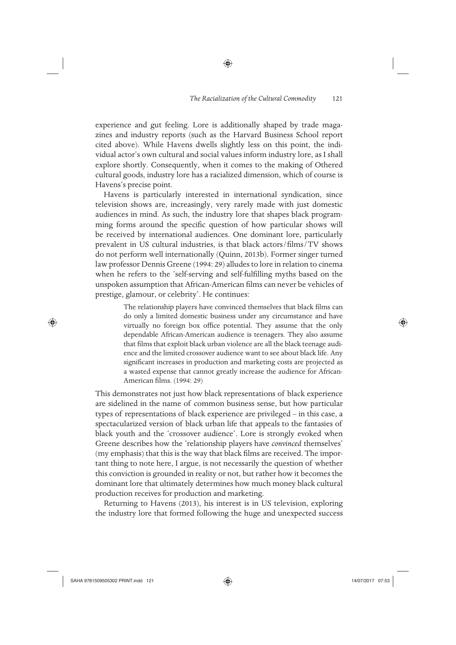experience and gut feeling. Lore is additionally shaped by trade magazines and industry reports (such as the Harvard Business School report cited above). While Havens dwells slightly less on this point, the individual actor's own cultural and social values inform industry lore, as I shall explore shortly. Consequently, when it comes to the making of Othered cultural goods, industry lore has a racialized dimension, which of course is Havens's precise point.

◈

Havens is particularly interested in international syndication, since television shows are, increasingly, very rarely made with just domestic audiences in mind. As such, the industry lore that shapes black programming forms around the specific question of how particular shows will be received by international audiences. One dominant lore, particularly prevalent in US cultural industries, is that black actors/films/TV shows do not perform well internationally (Quinn, 2013b). Former singer turned law professor Dennis Greene (1994: 29) alludes to lore in relation to cinema when he refers to the 'self-serving and self-fulfilling myths based on the unspoken assumption that African-American films can never be vehicles of prestige, glamour, or celebrity'. He continues:

> The relationship players have convinced themselves that black films can do only a limited domestic business under any circumstance and have virtually no foreign box office potential. They assume that the only dependable African-American audience is teenagers. They also assume that films that exploit black urban violence are all the black teenage audience and the limited crossover audience want to see about black life. Any significant increases in production and marketing costs are projected as a wasted expense that cannot greatly increase the audience for African-American films. (1994: 29)

This demonstrates not just how black representations of black experience are sidelined in the name of common business sense, but how particular types of representations of black experience are privileged – in this case, a spectacularized version of black urban life that appeals to the fantasies of black youth and the 'crossover audience'. Lore is strongly evoked when Greene describes how the 'relationship players have *convinced* themselves' (my emphasis) that this is the way that black films are received. The important thing to note here, I argue, is not necessarily the question of whether this conviction is grounded in reality or not, but rather how it becomes the dominant lore that ultimately determines how much money black cultural production receives for production and marketing.

Returning to Havens (2013), his interest is in US television, exploring the industry lore that formed following the huge and unexpected success

⊕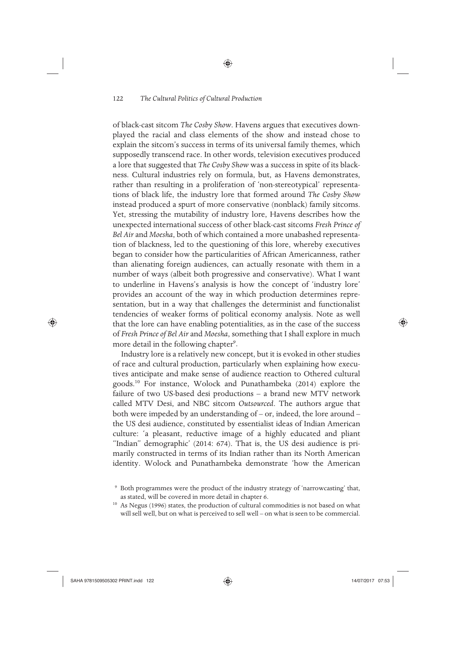of black-cast sitcom *The Cosby Show*. Havens argues that executives downplayed the racial and class elements of the show and instead chose to explain the sitcom's success in terms of its universal family themes, which supposedly transcend race. In other words, television executives produced a lore that suggested that *The Cosby Show* was a success in spite of its blackness. Cultural industries rely on formula, but, as Havens demonstrates, rather than resulting in a proliferation of 'non-stereotypical' representations of black life, the industry lore that formed around *The Cosby Show* instead produced a spurt of more conservative (nonblack) family sitcoms. Yet, stressing the mutability of industry lore, Havens describes how the unexpected international success of other black-cast sitcoms *Fresh Prince of Bel Air* and *Moesha*, both of which contained a more unabashed representation of blackness, led to the questioning of this lore, whereby executives began to consider how the particularities of African Americanness, rather than alienating foreign audiences, can actually resonate with them in a number of ways (albeit both progressive and conservative). What I want to underline in Havens's analysis is how the concept of 'industry lore' provides an account of the way in which production determines representation, but in a way that challenges the determinist and functionalist tendencies of weaker forms of political economy analysis. Note as well that the lore can have enabling potentialities, as in the case of the success of *Fresh Prince of Bel Air* and *Moesha*, something that I shall explore in much more detail in the following chapter<sup>9</sup>.

Industry lore is a relatively new concept, but it is evoked in other studies of race and cultural production, particularly when explaining how executives anticipate and make sense of audience reaction to Othered cultural goods.10 For instance, Wolock and Punathambeka (2014) explore the failure of two US-based desi productions – a brand new MTV network called MTV Desi, and NBC sitcom *Outsourced*. The authors argue that both were impeded by an understanding of – or, indeed, the lore around – the US desi audience, constituted by essentialist ideas of Indian American culture: 'a pleasant, reductive image of a highly educated and pliant "Indian" demographic' (2014: 674). That is, the US desi audience is primarily constructed in terms of its Indian rather than its North American identity. Wolock and Punathambeka demonstrate 'how the American

♠

 <sup>9</sup> Both programmes were the product of the industry strategy of 'narrowcasting' that, as stated, will be covered in more detail in chapter 6.

<sup>&</sup>lt;sup>10</sup> As Negus (1996) states, the production of cultural commodities is not based on what will sell well, but on what is perceived to sell well – on what is seen to be commercial.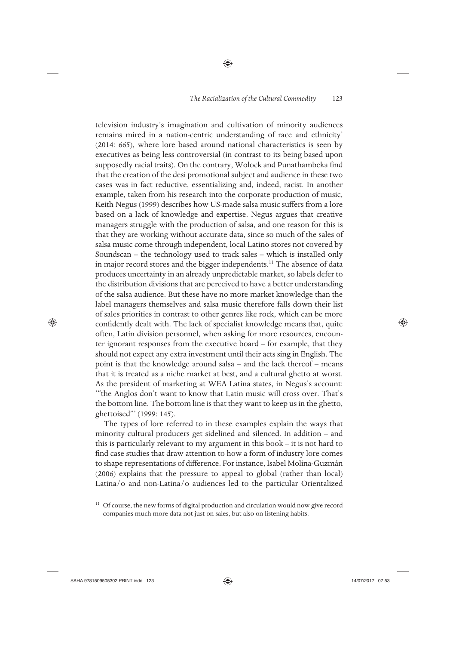◈

television industry's imagination and cultivation of minority audiences remains mired in a nation-centric understanding of race and ethnicity' (2014: 665), where lore based around national characteristics is seen by executives as being less controversial (in contrast to its being based upon supposedly racial traits). On the contrary, Wolock and Punathambeka find that the creation of the desi promotional subject and audience in these two cases was in fact reductive, essentializing and, indeed, racist. In another example, taken from his research into the corporate production of music, Keith Negus (1999) describes how US-made salsa music suffers from a lore based on a lack of knowledge and expertise. Negus argues that creative managers struggle with the production of salsa, and one reason for this is that they are working without accurate data, since so much of the sales of salsa music come through independent, local Latino stores not covered by Soundscan – the technology used to track sales – which is installed only in major record stores and the bigger independents.<sup>11</sup> The absence of data produces uncertainty in an already unpredictable market, so labels defer to the distribution divisions that are perceived to have a better understanding of the salsa audience. But these have no more market knowledge than the label managers themselves and salsa music therefore falls down their list of sales priorities in contrast to other genres like rock, which can be more confidently dealt with. The lack of specialist knowledge means that, quite often, Latin division personnel, when asking for more resources, encounter ignorant responses from the executive board – for example, that they should not expect any extra investment until their acts sing in English. The point is that the knowledge around salsa – and the lack thereof – means that it is treated as a niche market at best, and a cultural ghetto at worst. As the president of marketing at WEA Latina states, in Negus's account: '"the Anglos don't want to know that Latin music will cross over. That's the bottom line. The bottom line is that they want to keep us in the ghetto, ghettoised"' (1999: 145).

The types of lore referred to in these examples explain the ways that minority cultural producers get sidelined and silenced. In addition – and this is particularly relevant to my argument in this book – it is not hard to find case studies that draw attention to how a form of industry lore comes to shape representations of difference. For instance, Isabel Molina-Guzmán (2006) explains that the pressure to appeal to global (rather than local) Latina/o and non-Latina/o audiences led to the particular Orientalized

 $\bigoplus$ 

<sup>&</sup>lt;sup>11</sup> Of course, the new forms of digital production and circulation would now give record companies much more data not just on sales, but also on listening habits.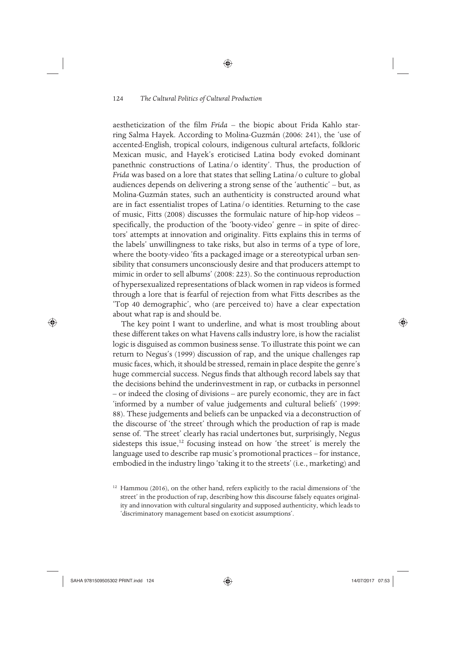aestheticization of the film *Frida* – the biopic about Frida Kahlo starring Salma Hayek. According to Molina-Guzmán (2006: 241), the 'use of accented-English, tropical colours, indigenous cultural artefacts, folkloric Mexican music, and Hayek's eroticised Latina body evoked dominant panethnic constructions of Latina/o identity'. Thus, the production of *Frida* was based on a lore that states that selling Latina/o culture to global audiences depends on delivering a strong sense of the 'authentic' – but, as Molina-Guzmán states, such an authenticity is constructed around what are in fact essentialist tropes of Latina/o identities. Returning to the case of music, Fitts (2008) discusses the formulaic nature of hip-hop videos – specifically, the production of the 'booty-video' genre – in spite of directors' attempts at innovation and originality. Fitts explains this in terms of the labels' unwillingness to take risks, but also in terms of a type of lore, where the booty-video 'fits a packaged image or a stereotypical urban sensibility that consumers unconsciously desire and that producers attempt to mimic in order to sell albums' (2008: 223). So the continuous reproduction of hypersexualized representations of black women in rap videos is formed through a lore that is fearful of rejection from what Fitts describes as the 'Top 40 demographic', who (are perceived to) have a clear expectation about what rap is and should be.

The key point I want to underline, and what is most troubling about these different takes on what Havens calls industry lore, is how the racialist logic is disguised as common business sense. To illustrate this point we can return to Negus's (1999) discussion of rap, and the unique challenges rap music faces, which, it should be stressed, remain in place despite the genre's huge commercial success. Negus finds that although record labels say that the decisions behind the underinvestment in rap, or cutbacks in personnel – or indeed the closing of divisions – are purely economic, they are in fact 'informed by a number of value judgements and cultural beliefs' (1999: 88). These judgements and beliefs can be unpacked via a deconstruction of the discourse of 'the street' through which the production of rap is made sense of. 'The street' clearly has racial undertones but, surprisingly, Negus sidesteps this issue,<sup>12</sup> focusing instead on how 'the street' is merely the language used to describe rap music's promotional practices – for instance, embodied in the industry lingo 'taking it to the streets' (i.e., marketing) and

⊕

⊕

 $12$  Hammou (2016), on the other hand, refers explicitly to the racial dimensions of 'the street' in the production of rap, describing how this discourse falsely equates originality and innovation with cultural singularity and supposed authenticity, which leads to 'discriminatory management based on exoticist assumptions'.

<sup>◈</sup>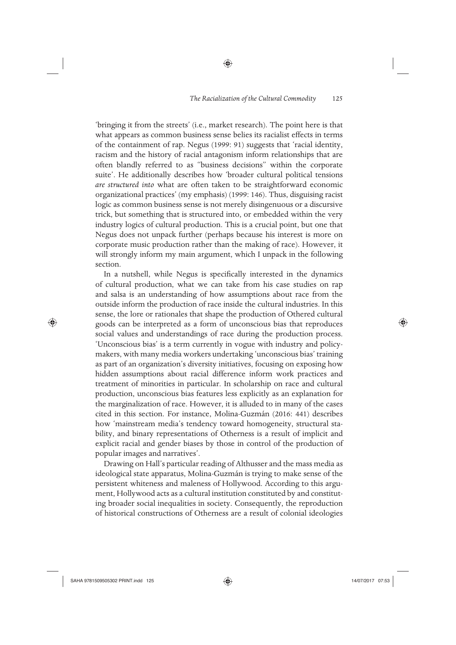'bringing it from the streets' (i.e., market research). The point here is that what appears as common business sense belies its racialist effects in terms of the containment of rap. Negus (1999: 91) suggests that 'racial identity, racism and the history of racial antagonism inform relationships that are often blandly referred to as "business decisions" within the corporate suite'. He additionally describes how 'broader cultural political tensions *are structured into* what are often taken to be straightforward economic organizational practices' (my emphasis) (1999: 146). Thus, disguising racist logic as common business sense is not merely disingenuous or a discursive trick, but something that is structured into, or embedded within the very industry logics of cultural production. This is a crucial point, but one that Negus does not unpack further (perhaps because his interest is more on corporate music production rather than the making of race). However, it will strongly inform my main argument, which I unpack in the following section.

◈

In a nutshell, while Negus is specifically interested in the dynamics of cultural production, what we can take from his case studies on rap and salsa is an understanding of how assumptions about race from the outside inform the production of race inside the cultural industries. In this sense, the lore or rationales that shape the production of Othered cultural goods can be interpreted as a form of unconscious bias that reproduces social values and understandings of race during the production process. 'Unconscious bias' is a term currently in vogue with industry and policymakers, with many media workers undertaking 'unconscious bias' training as part of an organization's diversity initiatives, focusing on exposing how hidden assumptions about racial difference inform work practices and treatment of minorities in particular. In scholarship on race and cultural production, unconscious bias features less explicitly as an explanation for the marginalization of race. However, it is alluded to in many of the cases cited in this section. For instance, Molina-Guzmán (2016: 441) describes how 'mainstream media's tendency toward homogeneity, structural stability, and binary representations of Otherness is a result of implicit and explicit racial and gender biases by those in control of the production of popular images and narratives'.

Drawing on Hall's particular reading of Althusser and the mass media as ideological state apparatus, Molina-Guzmán is trying to make sense of the persistent whiteness and maleness of Hollywood. According to this argument, Hollywood acts as a cultural institution constituted by and constituting broader social inequalities in society. Consequently, the reproduction of historical constructions of Otherness are a result of colonial ideologies

⊕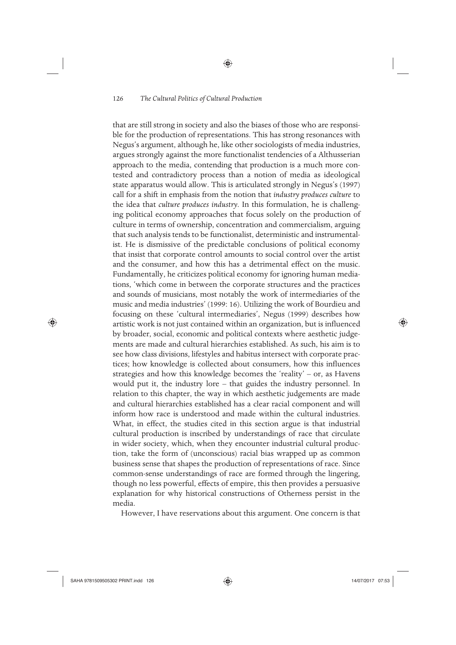◈

that are still strong in society and also the biases of those who are responsible for the production of representations. This has strong resonances with Negus's argument, although he, like other sociologists of media industries, argues strongly against the more functionalist tendencies of a Althusserian approach to the media, contending that production is a much more contested and contradictory process than a notion of media as ideological state apparatus would allow. This is articulated strongly in Negus's (1997) call for a shift in emphasis from the notion that *industry produces culture* to the idea that *culture produces industry*. In this formulation, he is challenging political economy approaches that focus solely on the production of culture in terms of ownership, concentration and commercialism, arguing that such analysis tends to be functionalist, deterministic and instrumentalist. He is dismissive of the predictable conclusions of political economy that insist that corporate control amounts to social control over the artist and the consumer, and how this has a detrimental effect on the music. Fundamentally, he criticizes political economy for ignoring human mediations, 'which come in between the corporate structures and the practices and sounds of musicians, most notably the work of intermediaries of the music and media industries' (1999: 16). Utilizing the work of Bourdieu and focusing on these 'cultural intermediaries', Negus (1999) describes how artistic work is not just contained within an organization, but is influenced by broader, social, economic and political contexts where aesthetic judgements are made and cultural hierarchies established. As such, his aim is to see how class divisions, lifestyles and habitus intersect with corporate practices; how knowledge is collected about consumers, how this influences strategies and how this knowledge becomes the 'reality' – or, as Havens would put it, the industry lore – that guides the industry personnel. In relation to this chapter, the way in which aesthetic judgements are made and cultural hierarchies established has a clear racial component and will inform how race is understood and made within the cultural industries. What, in effect, the studies cited in this section argue is that industrial cultural production is inscribed by understandings of race that circulate in wider society, which, when they encounter industrial cultural production, take the form of (unconscious) racial bias wrapped up as common business sense that shapes the production of representations of race. Since common-sense understandings of race are formed through the lingering, though no less powerful, effects of empire, this then provides a persuasive explanation for why historical constructions of Otherness persist in the media.

However, I have reservations about this argument. One concern is that

♠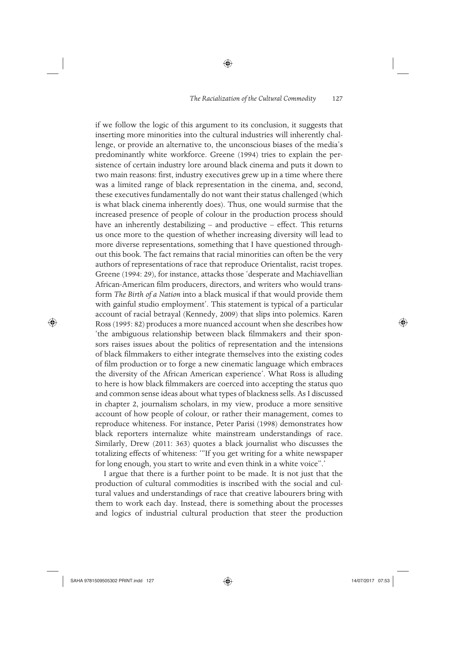◈

if we follow the logic of this argument to its conclusion, it suggests that inserting more minorities into the cultural industries will inherently challenge, or provide an alternative to, the unconscious biases of the media's predominantly white workforce. Greene (1994) tries to explain the persistence of certain industry lore around black cinema and puts it down to two main reasons: first, industry executives grew up in a time where there was a limited range of black representation in the cinema, and, second, these executives fundamentally do not want their status challenged (which is what black cinema inherently does). Thus, one would surmise that the increased presence of people of colour in the production process should have an inherently destabilizing – and productive – effect. This returns us once more to the question of whether increasing diversity will lead to more diverse representations, something that I have questioned throughout this book. The fact remains that racial minorities can often be the very authors of representations of race that reproduce Orientalist, racist tropes. Greene (1994: 29), for instance, attacks those 'desperate and Machiavellian African-American film producers, directors, and writers who would transform *The Birth of a Nation* into a black musical if that would provide them with gainful studio employment'. This statement is typical of a particular account of racial betrayal (Kennedy, 2009) that slips into polemics. Karen Ross (1995: 82) produces a more nuanced account when she describes how 'the ambiguous relationship between black filmmakers and their sponsors raises issues about the politics of representation and the intensions of black filmmakers to either integrate themselves into the existing codes of film production or to forge a new cinematic language which embraces the diversity of the African American experience'. What Ross is alluding to here is how black filmmakers are coerced into accepting the status quo and common sense ideas about what types of blackness sells. As I discussed in chapter 2, journalism scholars, in my view, produce a more sensitive account of how people of colour, or rather their management, comes to reproduce whiteness. For instance, Peter Parisi (1998) demonstrates how black reporters internalize white mainstream understandings of race. Similarly, Drew (2011: 363) quotes a black journalist who discusses the totalizing effects of whiteness: '"If you get writing for a white newspaper for long enough, you start to write and even think in a white voice".'

I argue that there is a further point to be made. It is not just that the production of cultural commodities is inscribed with the social and cultural values and understandings of race that creative labourers bring with them to work each day. Instead, there is something about the processes and logics of industrial cultural production that steer the production

⊕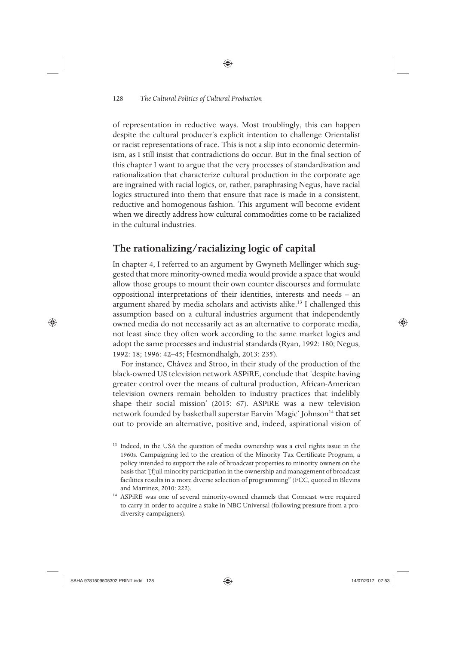of representation in reductive ways. Most troublingly, this can happen despite the cultural producer's explicit intention to challenge Orientalist or racist representations of race. This is not a slip into economic determinism, as I still insist that contradictions do occur. But in the final section of this chapter I want to argue that the very processes of standardization and rationalization that characterize cultural production in the corporate age are ingrained with racial logics, or, rather, paraphrasing Negus, have racial logics structured into them that ensure that race is made in a consistent, reductive and homogenous fashion. This argument will become evident when we directly address how cultural commodities come to be racialized in the cultural industries.

◈

# **The rationalizing/racializing logic of capital**

In chapter 4, I referred to an argument by Gwyneth Mellinger which suggested that more minority-owned media would provide a space that would allow those groups to mount their own counter discourses and formulate oppositional interpretations of their identities, interests and needs – an argument shared by media scholars and activists alike.<sup>13</sup> I challenged this assumption based on a cultural industries argument that independently owned media do not necessarily act as an alternative to corporate media, not least since they often work according to the same market logics and adopt the same processes and industrial standards (Ryan, 1992: 180; Negus, 1992: 18; 1996: 42–45; Hesmondhalgh, 2013: 235).

For instance, Chávez and Stroo, in their study of the production of the black-owned US television network ASPiRE, conclude that 'despite having greater control over the means of cultural production, African-American television owners remain beholden to industry practices that indelibly shape their social mission' (2015: 67). ASPiRE was a new television network founded by basketball superstar Earvin 'Magic' Johnson<sup>14</sup> that set out to provide an alternative, positive and, indeed, aspirational vision of

♠

<sup>&</sup>lt;sup>13</sup> Indeed, in the USA the question of media ownership was a civil rights issue in the 1960s. Campaigning led to the creation of the Minority Tax Certificate Program, a policy intended to support the sale of broadcast properties to minority owners on the basis that '[f]ull minority participation in the ownership and management of broadcast facilities results in a more diverse selection of programming" (FCC, quoted in Blevins and Martinez, 2010: 222).

<sup>&</sup>lt;sup>14</sup> ASPiRE was one of several minority-owned channels that Comcast were required to carry in order to acquire a stake in NBC Universal (following pressure from a prodiversity campaigners).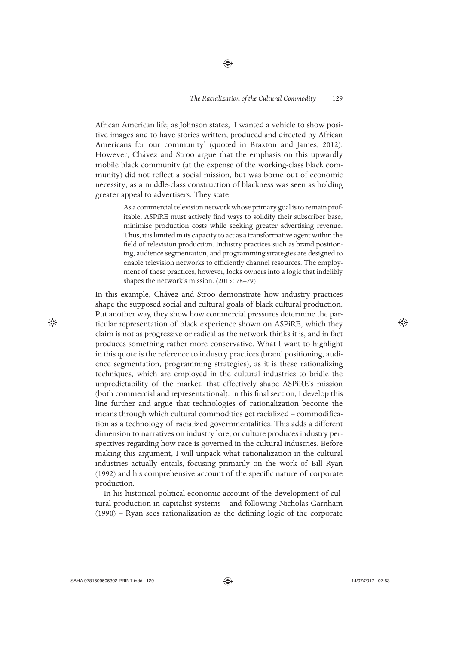African American life; as Johnson states, 'I wanted a vehicle to show positive images and to have stories written, produced and directed by African Americans for our community' (quoted in Braxton and James, 2012). However, Chávez and Stroo argue that the emphasis on this upwardly mobile black community (at the expense of the working-class black community) did not reflect a social mission, but was borne out of economic necessity, as a middle-class construction of blackness was seen as holding greater appeal to advertisers. They state:

◈

As a commercial television network whose primary goal is to remain profitable, ASPiRE must actively find ways to solidify their subscriber base, minimise production costs while seeking greater advertising revenue. Thus, it is limited in its capacity to act as a transformative agent within the field of television production. Industry practices such as brand positioning, audience segmentation, and programming strategies are designed to enable television networks to efficiently channel resources. The employment of these practices, however, locks owners into a logic that indelibly shapes the network's mission. (2015: 78–79)

In this example, Chávez and Stroo demonstrate how industry practices shape the supposed social and cultural goals of black cultural production. Put another way, they show how commercial pressures determine the particular representation of black experience shown on ASPiRE, which they claim is not as progressive or radical as the network thinks it is, and in fact produces something rather more conservative. What I want to highlight in this quote is the reference to industry practices (brand positioning, audience segmentation, programming strategies), as it is these rationalizing techniques, which are employed in the cultural industries to bridle the unpredictability of the market, that effectively shape ASPiRE's mission (both commercial and representational). In this final section, I develop this line further and argue that technologies of rationalization become the means through which cultural commodities get racialized – commodification as a technology of racialized governmentalities. This adds a different dimension to narratives on industry lore, or culture produces industry perspectives regarding how race is governed in the cultural industries. Before making this argument, I will unpack what rationalization in the cultural industries actually entails, focusing primarily on the work of Bill Ryan (1992) and his comprehensive account of the specific nature of corporate production.

In his historical political-economic account of the development of cultural production in capitalist systems – and following Nicholas Garnham (1990) – Ryan sees rationalization as the defining logic of the corporate

⊕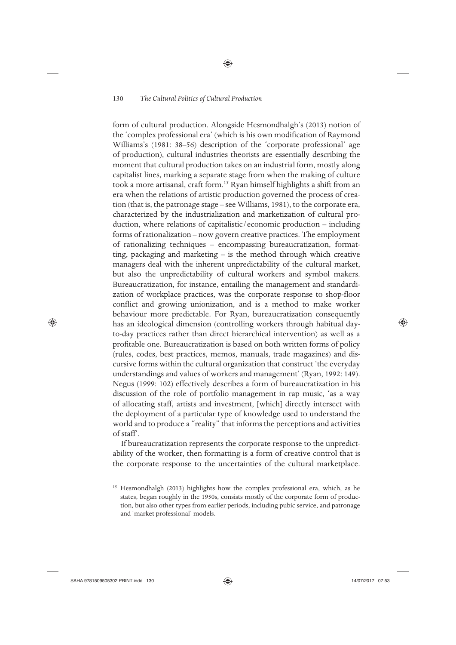◈

form of cultural production. Alongside Hesmondhalgh's (2013) notion of the 'complex professional era' (which is his own modification of Raymond Williams's (1981: 38–56) description of the 'corporate professional' age of production), cultural industries theorists are essentially describing the moment that cultural production takes on an industrial form, mostly along capitalist lines, marking a separate stage from when the making of culture took a more artisanal, craft form.<sup>15</sup> Ryan himself highlights a shift from an era when the relations of artistic production governed the process of creation (that is, the patronage stage – see Williams, 1981), to the corporate era, characterized by the industrialization and marketization of cultural production, where relations of capitalistic/economic production – including forms of rationalization – now govern creative practices. The employment of rationalizing techniques – encompassing bureaucratization, formatting, packaging and marketing – is the method through which creative managers deal with the inherent unpredictability of the cultural market, but also the unpredictability of cultural workers and symbol makers. Bureaucratization, for instance, entailing the management and standardization of workplace practices, was the corporate response to shop-floor conflict and growing unionization, and is a method to make worker behaviour more predictable. For Ryan, bureaucratization consequently has an ideological dimension (controlling workers through habitual dayto-day practices rather than direct hierarchical intervention) as well as a profitable one. Bureaucratization is based on both written forms of policy (rules, codes, best practices, memos, manuals, trade magazines) and discursive forms within the cultural organization that construct 'the everyday understandings and values of workers and management' (Ryan, 1992: 149). Negus (1999: 102) effectively describes a form of bureaucratization in his discussion of the role of portfolio management in rap music, 'as a way of allocating staff, artists and investment, [which] directly intersect with the deployment of a particular type of knowledge used to understand the world and to produce a "reality" that informs the perceptions and activities of staff'.

If bureaucratization represents the corporate response to the unpredictability of the worker, then formatting is a form of creative control that is the corporate response to the uncertainties of the cultural marketplace.

⊕

⊕

<sup>&</sup>lt;sup>15</sup> Hesmondhalgh (2013) highlights how the complex professional era, which, as he states, began roughly in the 1950s, consists mostly of the corporate form of production, but also other types from earlier periods, including pubic service, and patronage and 'market professional' models.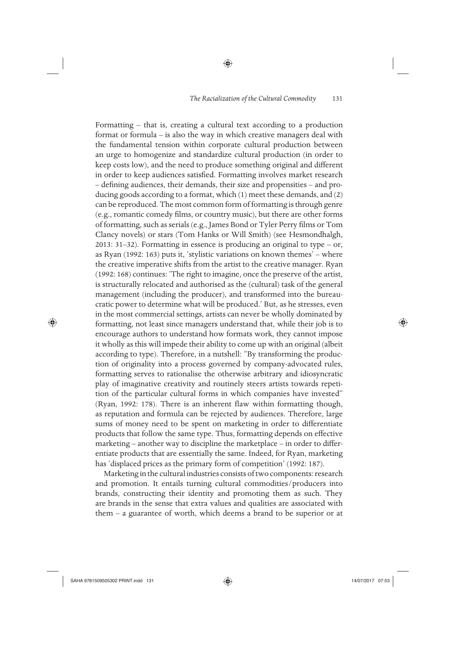◈

Formatting – that is, creating a cultural text according to a production format or formula – is also the way in which creative managers deal with the fundamental tension within corporate cultural production between an urge to homogenize and standardize cultural production (in order to keep costs low), and the need to produce something original and different in order to keep audiences satisfied. Formatting involves market research – defining audiences, their demands, their size and propensities – and producing goods according to a format, which (1) meet these demands, and (2) can be reproduced. The most common form of formatting is through genre (e.g., romantic comedy films, or country music), but there are other forms of formatting, such as serials (e.g., James Bond or Tyler Perry films or Tom Clancy novels) or stars (Tom Hanks or Will Smith) (see Hesmondhalgh, 2013: 31–32). Formatting in essence is producing an original to type – or, as Ryan (1992: 163) puts it, 'stylistic variations on known themes' – where the creative imperative shifts from the artist to the creative manager. Ryan (1992: 168) continues: 'The right to imagine, once the preserve of the artist, is structurally relocated and authorised as the (cultural) task of the general management (including the producer), and transformed into the bureaucratic power to determine what will be produced.' But, as he stresses, even in the most commercial settings, artists can never be wholly dominated by formatting, not least since managers understand that, while their job is to encourage authors to understand how formats work, they cannot impose it wholly as this will impede their ability to come up with an original (albeit according to type). Therefore, in a nutshell: "By transforming the production of originality into a process governed by company-advocated rules, formatting serves to rationalise the otherwise arbitrary and idiosyncratic play of imaginative creativity and routinely steers artists towards repetition of the particular cultural forms in which companies have invested" (Ryan, 1992: 178). There is an inherent flaw within formatting though, as reputation and formula can be rejected by audiences. Therefore, large sums of money need to be spent on marketing in order to differentiate products that follow the same type. Thus, formatting depends on effective marketing – another way to discipline the marketplace – in order to differentiate products that are essentially the same. Indeed, for Ryan, marketing has 'displaced prices as the primary form of competition' (1992: 187).

Marketing in the cultural industries consists of two components: research and promotion. It entails turning cultural commodities/ producers into brands, constructing their identity and promoting them as such. They are brands in the sense that extra values and qualities are associated with them – a guarantee of worth, which deems a brand to be superior or at

 $\bigoplus$ 

♠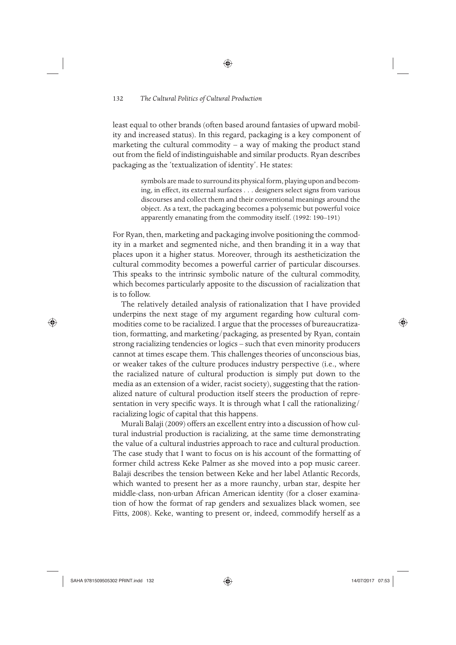least equal to other brands (often based around fantasies of upward mobility and increased status). In this regard, packaging is a key component of marketing the cultural commodity – a way of making the product stand out from the field of indistinguishable and similar products. Ryan describes packaging as the 'textualization of identity'. He states:

◈

symbols are made to surround its physical form, playing upon and becoming, in effect, its external surfaces . . . designers select signs from various discourses and collect them and their conventional meanings around the object. As a text, the packaging becomes a polysemic but powerful voice apparently emanating from the commodity itself. (1992: 190–191)

For Ryan, then, marketing and packaging involve positioning the commodity in a market and segmented niche, and then branding it in a way that places upon it a higher status. Moreover, through its aestheticization the cultural commodity becomes a powerful carrier of particular discourses. This speaks to the intrinsic symbolic nature of the cultural commodity, which becomes particularly apposite to the discussion of racialization that is to follow.

The relatively detailed analysis of rationalization that I have provided underpins the next stage of my argument regarding how cultural commodities come to be racialized. I argue that the processes of bureaucratization, formatting, and marketing/packaging, as presented by Ryan, contain strong racializing tendencies or logics – such that even minority producers cannot at times escape them. This challenges theories of unconscious bias, or weaker takes of the culture produces industry perspective (i.e., where the racialized nature of cultural production is simply put down to the media as an extension of a wider, racist society), suggesting that the rationalized nature of cultural production itself steers the production of representation in very specific ways. It is through what I call the rationalizing/ racializing logic of capital that this happens.

Murali Balaji (2009) offers an excellent entry into a discussion of how cultural industrial production is racializing, at the same time demonstrating the value of a cultural industries approach to race and cultural production. The case study that I want to focus on is his account of the formatting of former child actress Keke Palmer as she moved into a pop music career. Balaji describes the tension between Keke and her label Atlantic Records, which wanted to present her as a more raunchy, urban star, despite her middle-class, non-urban African American identity (for a closer examination of how the format of rap genders and sexualizes black women, see Fitts, 2008). Keke, wanting to present or, indeed, commodify herself as a

⊕

⊕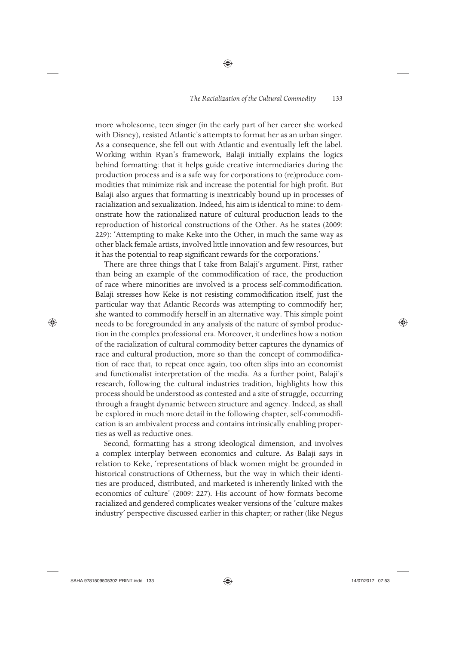more wholesome, teen singer (in the early part of her career she worked with Disney), resisted Atlantic's attempts to format her as an urban singer. As a consequence, she fell out with Atlantic and eventually left the label. Working within Ryan's framework, Balaji initially explains the logics behind formatting: that it helps guide creative intermediaries during the production process and is a safe way for corporations to (re)produce commodities that minimize risk and increase the potential for high profit. But Balaji also argues that formatting is inextricably bound up in processes of racialization and sexualization. Indeed, his aim is identical to mine: to demonstrate how the rationalized nature of cultural production leads to the reproduction of historical constructions of the Other. As he states (2009: 229): 'Attempting to make Keke into the Other, in much the same way as other black female artists, involved little innovation and few resources, but it has the potential to reap significant rewards for the corporations.'

◈

There are three things that I take from Balaji's argument. First, rather than being an example of the commodification of race, the production of race where minorities are involved is a process self-commodification. Balaji stresses how Keke is not resisting commodification itself, just the particular way that Atlantic Records was attempting to commodify her; she wanted to commodify herself in an alternative way. This simple point needs to be foregrounded in any analysis of the nature of symbol production in the complex professional era. Moreover, it underlines how a notion of the racialization of cultural commodity better captures the dynamics of race and cultural production, more so than the concept of commodification of race that, to repeat once again, too often slips into an economist and functionalist interpretation of the media. As a further point, Balaji's research, following the cultural industries tradition, highlights how this process should be understood as contested and a site of struggle, occurring through a fraught dynamic between structure and agency. Indeed, as shall be explored in much more detail in the following chapter, self-commodification is an ambivalent process and contains intrinsically enabling properties as well as reductive ones.

Second, formatting has a strong ideological dimension, and involves a complex interplay between economics and culture. As Balaji says in relation to Keke, 'representations of black women might be grounded in historical constructions of Otherness, but the way in which their identities are produced, distributed, and marketed is inherently linked with the economics of culture' (2009: 227). His account of how formats become racialized and gendered complicates weaker versions of the 'culture makes industry' perspective discussed earlier in this chapter; or rather (like Negus

 $\bigoplus$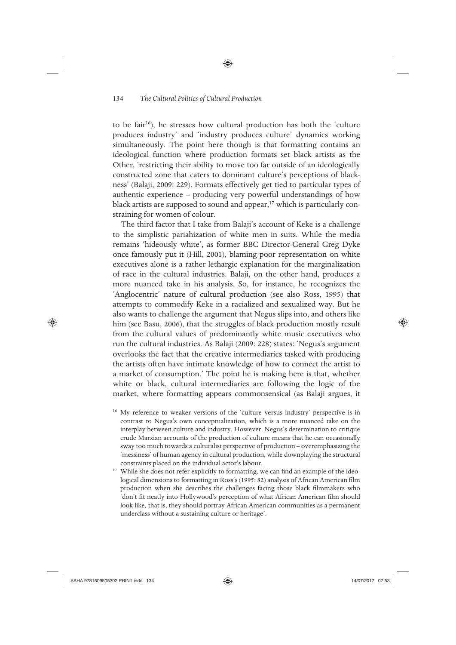to be fair<sup>16</sup>), he stresses how cultural production has both the 'culture produces industry' and 'industry produces culture' dynamics working simultaneously. The point here though is that formatting contains an ideological function where production formats set black artists as the Other, 'restricting their ability to move too far outside of an ideologically constructed zone that caters to dominant culture's perceptions of blackness' (Balaji, 2009: 229). Formats effectively get tied to particular types of authentic experience – producing very powerful understandings of how black artists are supposed to sound and appear,<sup>17</sup> which is particularly constraining for women of colour.

◈

The third factor that I take from Balaji's account of Keke is a challenge to the simplistic pariahization of white men in suits. While the media remains 'hideously white', as former BBC Director-General Greg Dyke once famously put it (Hill, 2001), blaming poor representation on white executives alone is a rather lethargic explanation for the marginalization of race in the cultural industries. Balaji, on the other hand, produces a more nuanced take in his analysis. So, for instance, he recognizes the 'Anglocentric' nature of cultural production (see also Ross, 1995) that attempts to commodify Keke in a racialized and sexualized way. But he also wants to challenge the argument that Negus slips into, and others like him (see Basu, 2006), that the struggles of black production mostly result from the cultural values of predominantly white music executives who run the cultural industries. As Balaji (2009: 228) states: 'Negus's argument overlooks the fact that the creative intermediaries tasked with producing the artists often have intimate knowledge of how to connect the artist to a market of consumption.' The point he is making here is that, whether white or black, cultural intermediaries are following the logic of the market, where formatting appears commonsensical (as Balaji argues, it

<sup>16</sup> My reference to weaker versions of the 'culture versus industry' perspective is in contrast to Negus's own conceptualization, which is a more nuanced take on the interplay between culture and industry. However, Negus's determination to critique crude Marxian accounts of the production of culture means that he can occasionally sway too much towards a culturalist perspective of production – overemphasizing the 'messiness' of human agency in cultural production, while downplaying the structural constraints placed on the individual actor's labour.

<sup>17</sup> While she does not refer explicitly to formatting, we can find an example of the ideological dimensions to formatting in Ross's (1995: 82) analysis of African American film production when she describes the challenges facing those black filmmakers who 'don't fit neatly into Hollywood's perception of what African American film should look like, that is, they should portray African American communities as a permanent underclass without a sustaining culture or heritage'.

♠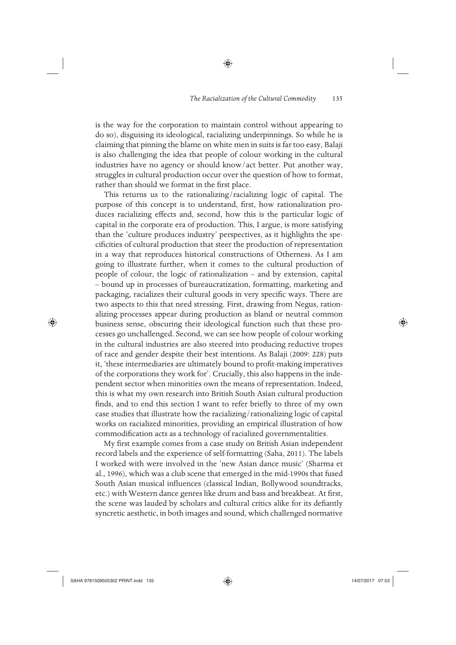is the way for the corporation to maintain control without appearing to do so), disguising its ideological, racializing underpinnings. So while he is claiming that pinning the blame on white men in suits is far too easy, Balaji is also challenging the idea that people of colour working in the cultural industries have no agency or should know/act better. Put another way, struggles in cultural production occur over the question of how to format, rather than should we format in the first place.

◈

This returns us to the rationalizing/racializing logic of capital. The purpose of this concept is to understand, first, how rationalization produces racializing effects and, second, how this is the particular logic of capital in the corporate era of production. This, I argue, is more satisfying than the 'culture produces industry' perspectives, as it highlights the specificities of cultural production that steer the production of representation in a way that reproduces historical constructions of Otherness. As I am going to illustrate further, when it comes to the cultural production of people of colour, the logic of rationalization – and by extension, capital – bound up in processes of bureaucratization, formatting, marketing and packaging, racializes their cultural goods in very specific ways. There are two aspects to this that need stressing. First, drawing from Negus, rationalizing processes appear during production as bland or neutral common business sense, obscuring their ideological function such that these processes go unchallenged. Second, we can see how people of colour working in the cultural industries are also steered into producing reductive tropes of race and gender despite their best intentions. As Balaji (2009: 228) puts it, 'these intermediaries are ultimately bound to profit-making imperatives of the corporations they work for'. Crucially, this also happens in the independent sector when minorities own the means of representation. Indeed, this is what my own research into British South Asian cultural production finds, and to end this section I want to refer briefly to three of my own case studies that illustrate how the racializing/rationalizing logic of capital works on racialized minorities, providing an empirical illustration of how commodification acts as a technology of racialized governmentalities.

My first example comes from a case study on British Asian independent record labels and the experience of self-formatting (Saha, 2011). The labels I worked with were involved in the 'new Asian dance music' (Sharma et al., 1996), which was a club scene that emerged in the mid-1990s that fused South Asian musical influences (classical Indian, Bollywood soundtracks, etc.) with Western dance genres like drum and bass and breakbeat. At first, the scene was lauded by scholars and cultural critics alike for its defiantly syncretic aesthetic, in both images and sound, which challenged normative

 $\bigoplus$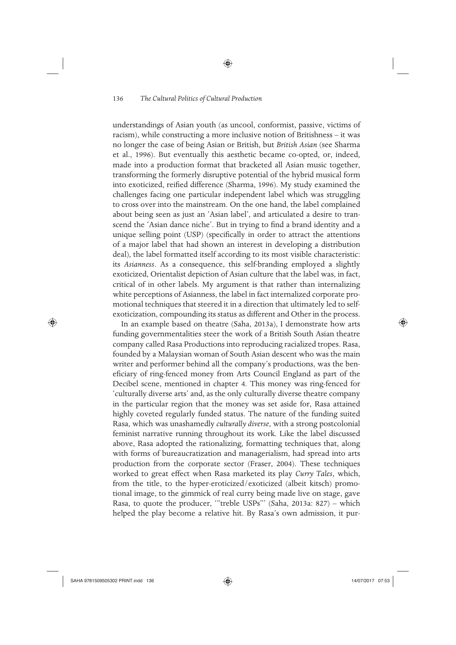understandings of Asian youth (as uncool, conformist, passive, victims of racism), while constructing a more inclusive notion of Britishness – it was no longer the case of being Asian or British, but *British Asian* (see Sharma et al., 1996). But eventually this aesthetic became co-opted, or, indeed, made into a production format that bracketed all Asian music together, transforming the formerly disruptive potential of the hybrid musical form into exoticized, reified difference (Sharma, 1996). My study examined the challenges facing one particular independent label which was struggling to cross over into the mainstream. On the one hand, the label complained about being seen as just an 'Asian label', and articulated a desire to transcend the 'Asian dance niche'. But in trying to find a brand identity and a unique selling point (USP) (specifically in order to attract the attentions of a major label that had shown an interest in developing a distribution deal), the label formatted itself according to its most visible characteristic: its *Asianness*. As a consequence, this self-branding employed a slightly exoticized, Orientalist depiction of Asian culture that the label was, in fact, critical of in other labels. My argument is that rather than internalizing white perceptions of Asianness, the label in fact internalized corporate promotional techniques that steered it in a direction that ultimately led to selfexoticization, compounding its status as different and Other in the process.

◈

In an example based on theatre (Saha, 2013a), I demonstrate how arts funding governmentalities steer the work of a British South Asian theatre company called Rasa Productions into reproducing racialized tropes. Rasa, founded by a Malaysian woman of South Asian descent who was the main writer and performer behind all the company's productions, was the beneficiary of ring-fenced money from Arts Council England as part of the Decibel scene, mentioned in chapter 4. This money was ring-fenced for 'culturally diverse arts' and, as the only culturally diverse theatre company in the particular region that the money was set aside for, Rasa attained highly coveted regularly funded status. The nature of the funding suited Rasa, which was unashamedly *culturally diverse*, with a strong postcolonial feminist narrative running throughout its work. Like the label discussed above, Rasa adopted the rationalizing, formatting techniques that, along with forms of bureaucratization and managerialism, had spread into arts production from the corporate sector (Fraser, 2004). These techniques worked to great effect when Rasa marketed its play *Curry Tales*, which, from the title, to the hyper-eroticized/exoticized (albeit kitsch) promotional image, to the gimmick of real curry being made live on stage, gave Rasa, to quote the producer, '"treble USPs"' (Saha, 2013a: 827) – which helped the play become a relative hit. By Rasa's own admission, it pur-

⊕

⊕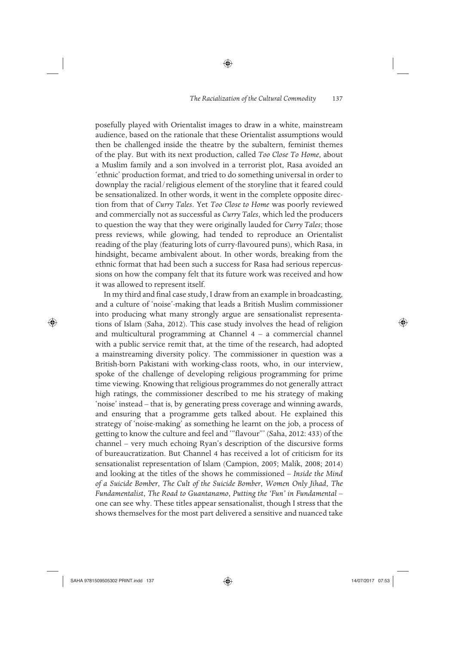posefully played with Orientalist images to draw in a white, mainstream audience, based on the rationale that these Orientalist assumptions would then be challenged inside the theatre by the subaltern, feminist themes of the play. But with its next production, called *Too Close To Home*, about a Muslim family and a son involved in a terrorist plot, Rasa avoided an 'ethnic' production format, and tried to do something universal in order to downplay the racial/religious element of the storyline that it feared could be sensationalized. In other words, it went in the complete opposite direction from that of *Curry Tales*. Yet *Too Close to Home* was poorly reviewed and commercially not as successful as *Curry Tales*, which led the producers to question the way that they were originally lauded for *Curry Tales*; those press reviews, while glowing, had tended to reproduce an Orientalist reading of the play (featuring lots of curry-flavoured puns), which Rasa, in hindsight, became ambivalent about. In other words, breaking from the ethnic format that had been such a success for Rasa had serious repercussions on how the company felt that its future work was received and how it was allowed to represent itself.

◈

In my third and final case study, I draw from an example in broadcasting, and a culture of 'noise'-making that leads a British Muslim commissioner into producing what many strongly argue are sensationalist representations of Islam (Saha, 2012). This case study involves the head of religion and multicultural programming at Channel 4 – a commercial channel with a public service remit that, at the time of the research, had adopted a mainstreaming diversity policy. The commissioner in question was a British-born Pakistani with working-class roots, who, in our interview, spoke of the challenge of developing religious programming for prime time viewing. Knowing that religious programmes do not generally attract high ratings, the commissioner described to me his strategy of making 'noise' instead – that is, by generating press coverage and winning awards, and ensuring that a programme gets talked about. He explained this strategy of 'noise-making' as something he learnt on the job, a process of getting to know the culture and feel and '"flavour"' (Saha, 2012: 433) of the channel – very much echoing Ryan's description of the discursive forms of bureaucratization. But Channel 4 has received a lot of criticism for its sensationalist representation of Islam (Campion, 2005; Malik, 2008; 2014) and looking at the titles of the shows he commissioned – *Inside the Mind of a Suicide Bomber*, *The Cult of the Suicide Bomber*, *Women Only Jihad*, *The Fundamentalist*, *The Road to Guantanamo*, *Putting the 'Fun' in Fundamental* – one can see why. These titles appear sensationalist, though I stress that the shows themselves for the most part delivered a sensitive and nuanced take

 $\bigoplus$ 

♠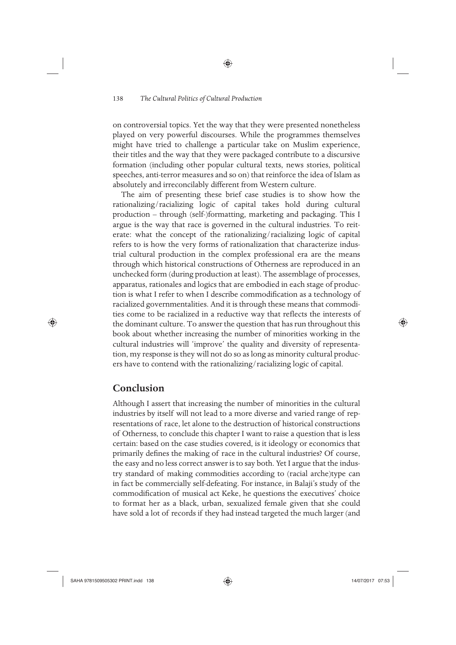on controversial topics. Yet the way that they were presented nonetheless played on very powerful discourses. While the programmes themselves might have tried to challenge a particular take on Muslim experience, their titles and the way that they were packaged contribute to a discursive formation (including other popular cultural texts, news stories, political speeches, anti-terror measures and so on) that reinforce the idea of Islam as absolutely and irreconcilably different from Western culture.

The aim of presenting these brief case studies is to show how the rationalizing/racializing logic of capital takes hold during cultural production – through (self-)formatting, marketing and packaging. This I argue is the way that race is governed in the cultural industries. To reiterate: what the concept of the rationalizing/racializing logic of capital refers to is how the very forms of rationalization that characterize industrial cultural production in the complex professional era are the means through which historical constructions of Otherness are reproduced in an unchecked form (during production at least). The assemblage of processes, apparatus, rationales and logics that are embodied in each stage of production is what I refer to when I describe commodification as a technology of racialized governmentalities. And it is through these means that commodities come to be racialized in a reductive way that reflects the interests of the dominant culture. To answer the question that has run throughout this book about whether increasing the number of minorities working in the cultural industries will 'improve' the quality and diversity of representation, my response is they will not do so as long as minority cultural producers have to contend with the rationalizing/racializing logic of capital.

# **Conclusion**

♠

Although I assert that increasing the number of minorities in the cultural industries by itself will not lead to a more diverse and varied range of representations of race, let alone to the destruction of historical constructions of Otherness, to conclude this chapter I want to raise a question that is less certain: based on the case studies covered, is it ideology or economics that primarily defines the making of race in the cultural industries? Of course, the easy and no less correct answer is to say both. Yet I argue that the industry standard of making commodities according to (racial arche)type can in fact be commercially self-defeating. For instance, in Balaji's study of the commodification of musical act Keke, he questions the executives' choice to format her as a black, urban, sexualized female given that she could have sold a lot of records if they had instead targeted the much larger (and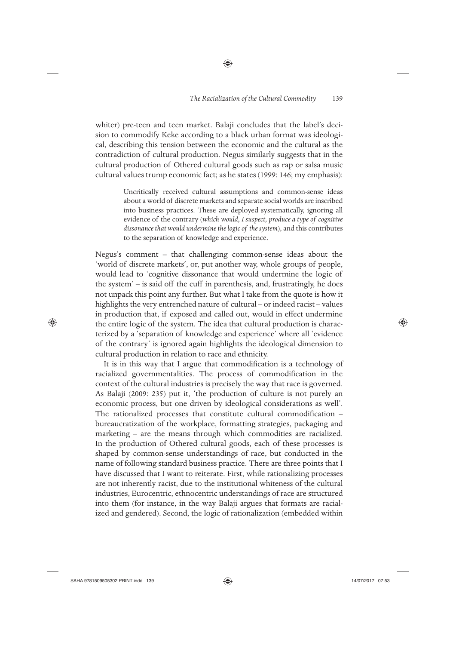whiter) pre-teen and teen market. Balaji concludes that the label's decision to commodify Keke according to a black urban format was ideological, describing this tension between the economic and the cultural as the contradiction of cultural production. Negus similarly suggests that in the cultural production of Othered cultural goods such as rap or salsa music cultural values trump economic fact; as he states (1999: 146; my emphasis):

◈

Uncritically received cultural assumptions and common-sense ideas about a world of discrete markets and separate social worlds are inscribed into business practices. These are deployed systematically, ignoring all evidence of the contrary (*which would, I suspect, produce a type of cognitive dissonance that would undermine the logic of the system*), and this contributes to the separation of knowledge and experience.

Negus's comment – that challenging common-sense ideas about the 'world of discrete markets', or, put another way, whole groups of people, would lead to 'cognitive dissonance that would undermine the logic of the system' – is said off the cuff in parenthesis, and, frustratingly, he does not unpack this point any further. But what I take from the quote is how it highlights the very entrenched nature of cultural – or indeed racist – values in production that, if exposed and called out, would in effect undermine the entire logic of the system. The idea that cultural production is characterized by a 'separation of knowledge and experience' where all 'evidence of the contrary' is ignored again highlights the ideological dimension to cultural production in relation to race and ethnicity.

It is in this way that I argue that commodification is a technology of racialized governmentalities. The process of commodification in the context of the cultural industries is precisely the way that race is governed. As Balaji (2009: 235) put it, 'the production of culture is not purely an economic process, but one driven by ideological considerations as well'. The rationalized processes that constitute cultural commodification – bureaucratization of the workplace, formatting strategies, packaging and marketing – are the means through which commodities are racialized. In the production of Othered cultural goods, each of these processes is shaped by common-sense understandings of race, but conducted in the name of following standard business practice. There are three points that I have discussed that I want to reiterate. First, while rationalizing processes are not inherently racist, due to the institutional whiteness of the cultural industries, Eurocentric, ethnocentric understandings of race are structured into them (for instance, in the way Balaji argues that formats are racialized and gendered). Second, the logic of rationalization (embedded within

SAHA 9781509505302 PRINT.indd 139 14/07/2017 07:53

 $\bigoplus$